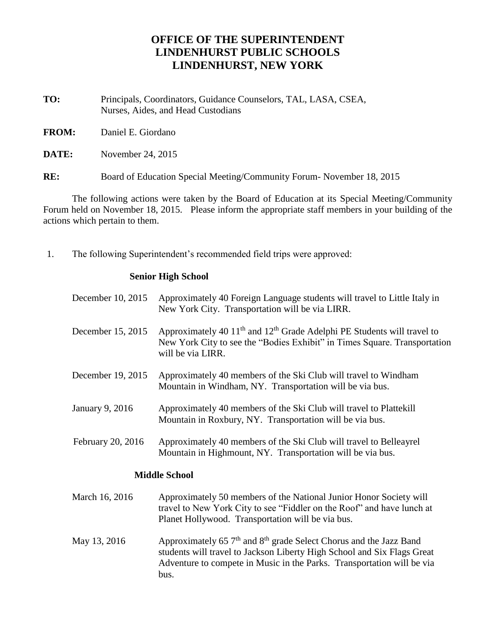## **OFFICE OF THE SUPERINTENDENT LINDENHURST PUBLIC SCHOOLS LINDENHURST, NEW YORK**

- **TO:** Principals, Coordinators, Guidance Counselors, TAL, LASA, CSEA, Nurses, Aides, and Head Custodians
- **FROM:** Daniel E. Giordano

**DATE:** November 24, 2015

**RE:** Board of Education Special Meeting/Community Forum- November 18, 2015

The following actions were taken by the Board of Education at its Special Meeting/Community Forum held on November 18, 2015. Please inform the appropriate staff members in your building of the actions which pertain to them.

1. The following Superintendent's recommended field trips were approved:

## **Senior High School**

bus.

| December 10, 2015    | Approximately 40 Foreign Language students will travel to Little Italy in<br>New York City. Transportation will be via LIRR.                                                                      |  |
|----------------------|---------------------------------------------------------------------------------------------------------------------------------------------------------------------------------------------------|--|
| December 15, 2015    | Approximately 40 11 <sup>th</sup> and 12 <sup>th</sup> Grade Adelphi PE Students will travel to<br>New York City to see the "Bodies Exhibit" in Times Square. Transportation<br>will be via LIRR. |  |
| December 19, 2015    | Approximately 40 members of the Ski Club will travel to Windham<br>Mountain in Windham, NY. Transportation will be via bus.                                                                       |  |
| January 9, 2016      | Approximately 40 members of the Ski Club will travel to Plattekill<br>Mountain in Roxbury, NY. Transportation will be via bus.                                                                    |  |
| February 20, 2016    | Approximately 40 members of the Ski Club will travel to Belleayrel<br>Mountain in Highmount, NY. Transportation will be via bus.                                                                  |  |
| <b>Middle School</b> |                                                                                                                                                                                                   |  |
| March 16, 2016       | Approximately 50 members of the National Junior Honor Society will<br>travel to New York City to see "Fiddler on the Roof" and have lunch at<br>Planet Hollywood. Transportation will be via bus. |  |
| May 13, 2016         | Approximately 65 7 <sup>th</sup> and 8 <sup>th</sup> grade Select Chorus and the Jazz Band<br>students will travel to Jackson Liberty High School and Six Flags Great                             |  |

Adventure to compete in Music in the Parks. Transportation will be via